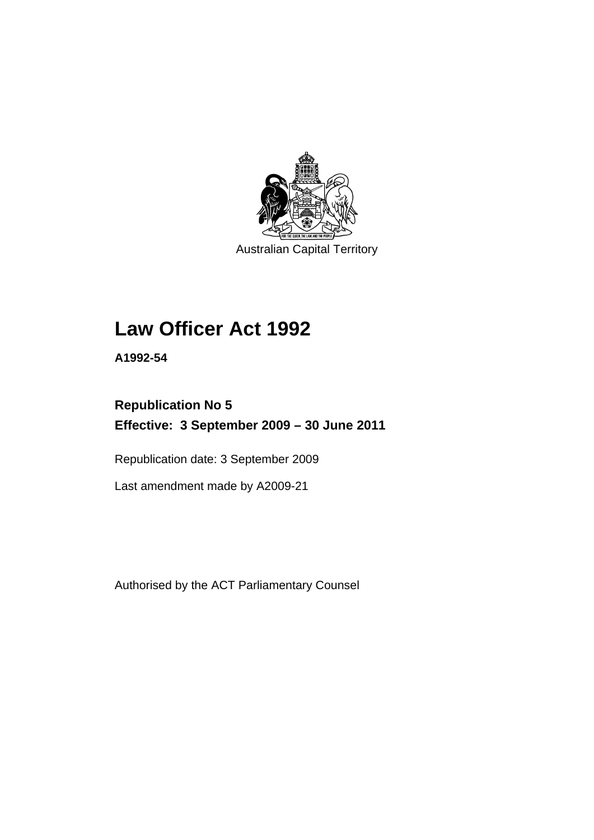

Australian Capital Territory

# **Law Officer Act 1992**

**A1992-54** 

# **Republication No 5 Effective: 3 September 2009 – 30 June 2011**

Republication date: 3 September 2009

Last amendment made by A2009-21

Authorised by the ACT Parliamentary Counsel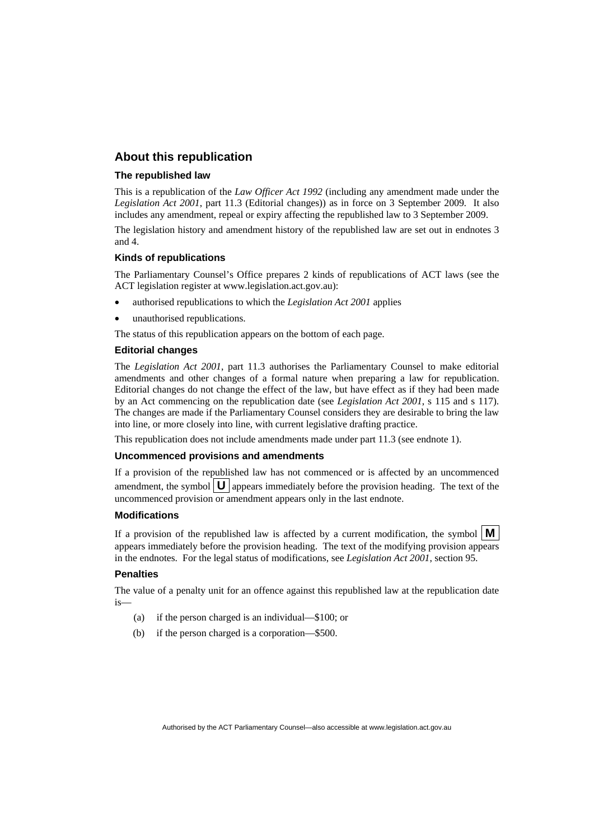# **About this republication**

#### **The republished law**

This is a republication of the *Law Officer Act 1992* (including any amendment made under the *Legislation Act 2001*, part 11.3 (Editorial changes)) as in force on 3 September 2009*.* It also includes any amendment, repeal or expiry affecting the republished law to 3 September 2009.

The legislation history and amendment history of the republished law are set out in endnotes 3 and 4.

#### **Kinds of republications**

The Parliamentary Counsel's Office prepares 2 kinds of republications of ACT laws (see the ACT legislation register at www.legislation.act.gov.au):

- authorised republications to which the *Legislation Act 2001* applies
- unauthorised republications.

The status of this republication appears on the bottom of each page.

#### **Editorial changes**

The *Legislation Act 2001*, part 11.3 authorises the Parliamentary Counsel to make editorial amendments and other changes of a formal nature when preparing a law for republication. Editorial changes do not change the effect of the law, but have effect as if they had been made by an Act commencing on the republication date (see *Legislation Act 2001*, s 115 and s 117). The changes are made if the Parliamentary Counsel considers they are desirable to bring the law into line, or more closely into line, with current legislative drafting practice.

This republication does not include amendments made under part 11.3 (see endnote 1).

#### **Uncommenced provisions and amendments**

If a provision of the republished law has not commenced or is affected by an uncommenced amendment, the symbol  $\mathbf{U}$  appears immediately before the provision heading. The text of the uncommenced provision or amendment appears only in the last endnote.

#### **Modifications**

If a provision of the republished law is affected by a current modification, the symbol  $\mathbf{M}$ appears immediately before the provision heading. The text of the modifying provision appears in the endnotes. For the legal status of modifications, see *Legislation Act 2001*, section 95.

#### **Penalties**

The value of a penalty unit for an offence against this republished law at the republication date is—

- (a) if the person charged is an individual—\$100; or
- (b) if the person charged is a corporation—\$500.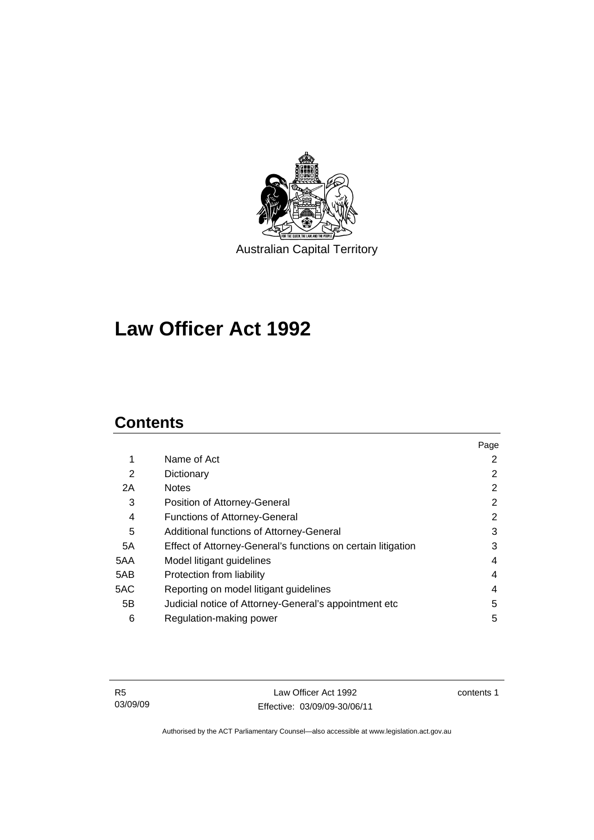

**Law Officer Act 1992** 

# **Contents**

|     |                                                              | Page |
|-----|--------------------------------------------------------------|------|
| 1   | Name of Act                                                  | 2    |
| 2   | Dictionary                                                   | 2    |
| 2A  | <b>Notes</b>                                                 | 2    |
| 3   | Position of Attorney-General                                 | 2    |
| 4   | <b>Functions of Attorney-General</b>                         | 2    |
| 5   | Additional functions of Attorney-General                     | 3    |
| 5A  | Effect of Attorney-General's functions on certain litigation | 3    |
| 5AA | Model litigant guidelines                                    | 4    |
| 5AB | Protection from liability                                    | 4    |
| 5AC | Reporting on model litigant guidelines                       | 4    |
| 5B  | Judicial notice of Attorney-General's appointment etc        | 5    |
| 6   | Regulation-making power                                      | 5    |

R5 03/09/09

Law Officer Act 1992 Effective: 03/09/09-30/06/11 contents 1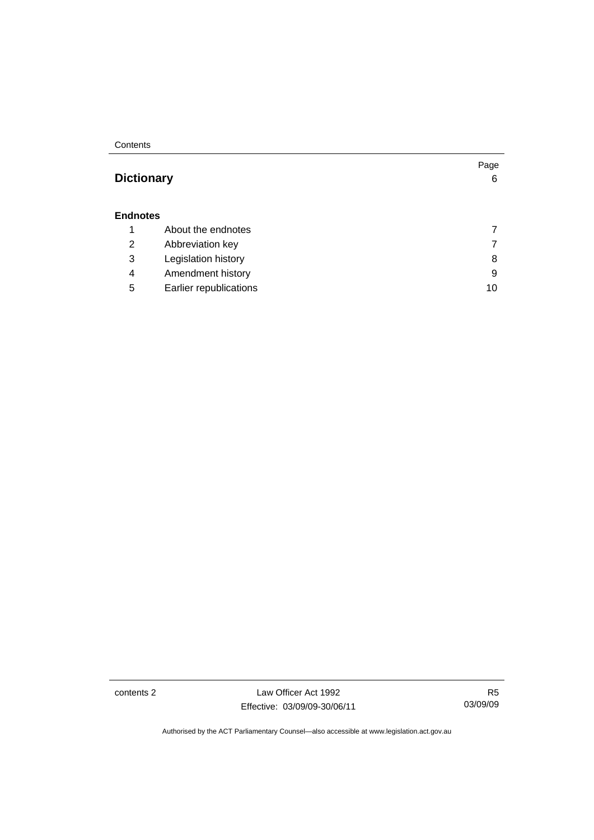**Contents** 

# **Dictionary** 6

#### **Endnotes**

|  |   | About the endnotes     |    |
|--|---|------------------------|----|
|  | 2 | Abbreviation key       |    |
|  | 3 | Legislation history    | 8  |
|  | 4 | Amendment history      | 9  |
|  | 5 | Earlier republications | 10 |
|  |   |                        |    |

contents 2 Law Officer Act 1992 Effective: 03/09/09-30/06/11

R5 03/09/09

Page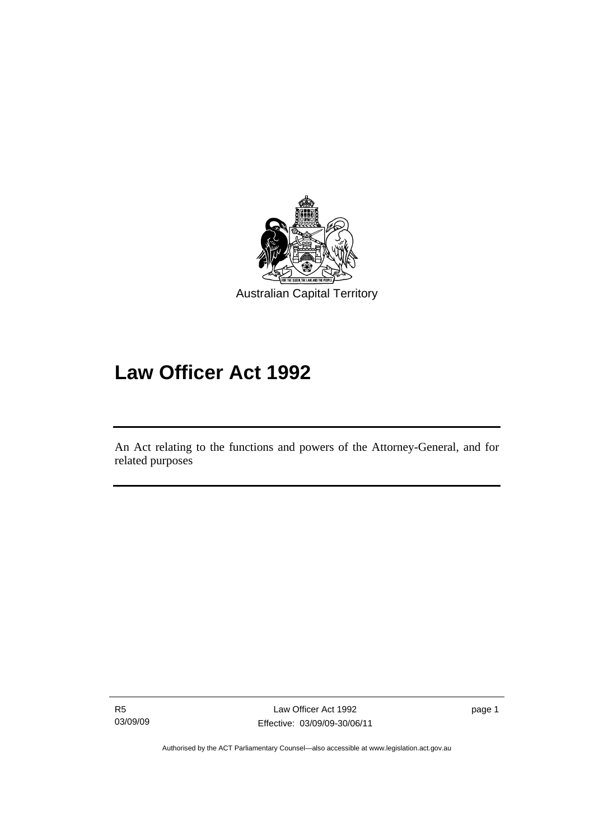

# **Law Officer Act 1992**

An Act relating to the functions and powers of the Attorney-General, and for related purposes

R5 03/09/09

l

page 1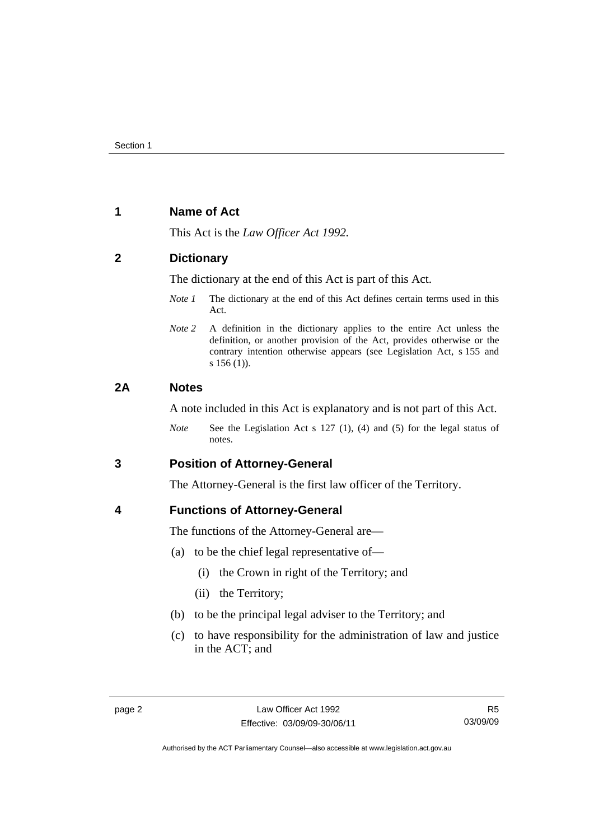# **1 Name of Act**

This Act is the *Law Officer Act 1992.*

# **2 Dictionary**

The dictionary at the end of this Act is part of this Act.

- *Note 1* The dictionary at the end of this Act defines certain terms used in this Act.
- *Note 2* A definition in the dictionary applies to the entire Act unless the definition, or another provision of the Act, provides otherwise or the contrary intention otherwise appears (see Legislation Act, s 155 and s 156 (1)).

# **2A Notes**

A note included in this Act is explanatory and is not part of this Act.

*Note* See the Legislation Act s 127 (1), (4) and (5) for the legal status of notes.

**3 Position of Attorney-General** 

The Attorney-General is the first law officer of the Territory.

# **4 Functions of Attorney-General**

The functions of the Attorney-General are—

- (a) to be the chief legal representative of—
	- (i) the Crown in right of the Territory; and
	- (ii) the Territory;
- (b) to be the principal legal adviser to the Territory; and
- (c) to have responsibility for the administration of law and justice in the ACT; and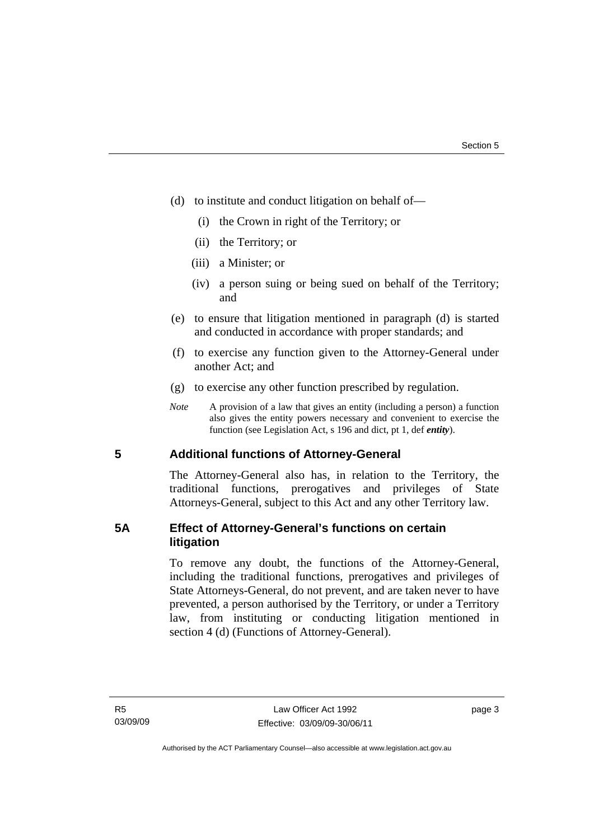- (d) to institute and conduct litigation on behalf of—
	- (i) the Crown in right of the Territory; or
	- (ii) the Territory; or
	- (iii) a Minister; or
	- (iv) a person suing or being sued on behalf of the Territory; and
- (e) to ensure that litigation mentioned in paragraph (d) is started and conducted in accordance with proper standards; and
- (f) to exercise any function given to the Attorney-General under another Act; and
- (g) to exercise any other function prescribed by regulation.
- *Note* A provision of a law that gives an entity (including a person) a function also gives the entity powers necessary and convenient to exercise the function (see Legislation Act, s 196 and dict, pt 1, def *entity*).

# **5 Additional functions of Attorney-General**

The Attorney-General also has, in relation to the Territory, the traditional functions, prerogatives and privileges of State Attorneys-General, subject to this Act and any other Territory law.

# **5A Effect of Attorney-General's functions on certain litigation**

To remove any doubt, the functions of the Attorney-General, including the traditional functions, prerogatives and privileges of State Attorneys-General, do not prevent, and are taken never to have prevented, a person authorised by the Territory, or under a Territory law, from instituting or conducting litigation mentioned in section 4 (d) (Functions of Attorney-General).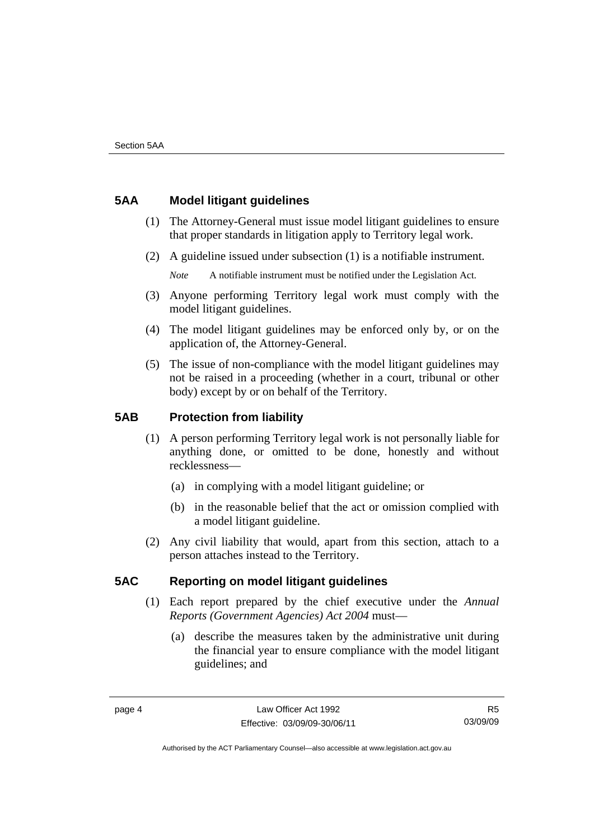# **5AA Model litigant guidelines**

- (1) The Attorney-General must issue model litigant guidelines to ensure that proper standards in litigation apply to Territory legal work.
- (2) A guideline issued under subsection (1) is a notifiable instrument.

*Note* A notifiable instrument must be notified under the Legislation Act.

- (3) Anyone performing Territory legal work must comply with the model litigant guidelines.
- (4) The model litigant guidelines may be enforced only by, or on the application of, the Attorney-General.
- (5) The issue of non-compliance with the model litigant guidelines may not be raised in a proceeding (whether in a court, tribunal or other body) except by or on behalf of the Territory.

# **5AB Protection from liability**

- (1) A person performing Territory legal work is not personally liable for anything done, or omitted to be done, honestly and without recklessness—
	- (a) in complying with a model litigant guideline; or
	- (b) in the reasonable belief that the act or omission complied with a model litigant guideline.
- (2) Any civil liability that would, apart from this section, attach to a person attaches instead to the Territory.

# **5AC Reporting on model litigant guidelines**

- (1) Each report prepared by the chief executive under the *Annual Reports (Government Agencies) Act 2004* must—
	- (a) describe the measures taken by the administrative unit during the financial year to ensure compliance with the model litigant guidelines; and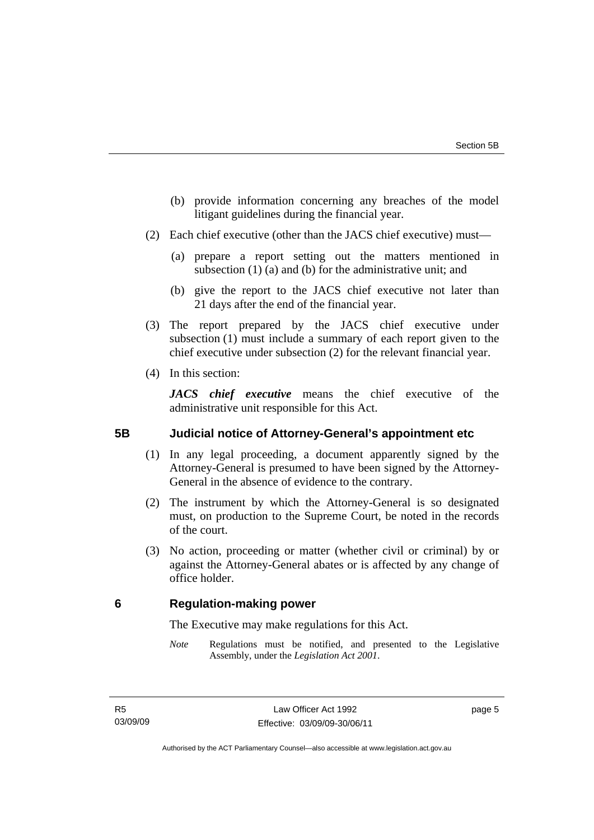- (b) provide information concerning any breaches of the model litigant guidelines during the financial year.
- (2) Each chief executive (other than the JACS chief executive) must—
	- (a) prepare a report setting out the matters mentioned in subsection (1) (a) and (b) for the administrative unit; and
	- (b) give the report to the JACS chief executive not later than 21 days after the end of the financial year.
- (3) The report prepared by the JACS chief executive under subsection (1) must include a summary of each report given to the chief executive under subsection (2) for the relevant financial year.
- (4) In this section:

*JACS chief executive* means the chief executive of the administrative unit responsible for this Act.

# **5B Judicial notice of Attorney-General's appointment etc**

- (1) In any legal proceeding, a document apparently signed by the Attorney-General is presumed to have been signed by the Attorney-General in the absence of evidence to the contrary.
- (2) The instrument by which the Attorney-General is so designated must, on production to the Supreme Court, be noted in the records of the court.
- (3) No action, proceeding or matter (whether civil or criminal) by or against the Attorney-General abates or is affected by any change of office holder.

# **6 Regulation-making power**

The Executive may make regulations for this Act.

*Note* Regulations must be notified, and presented to the Legislative Assembly, under the *Legislation Act 2001*.

page 5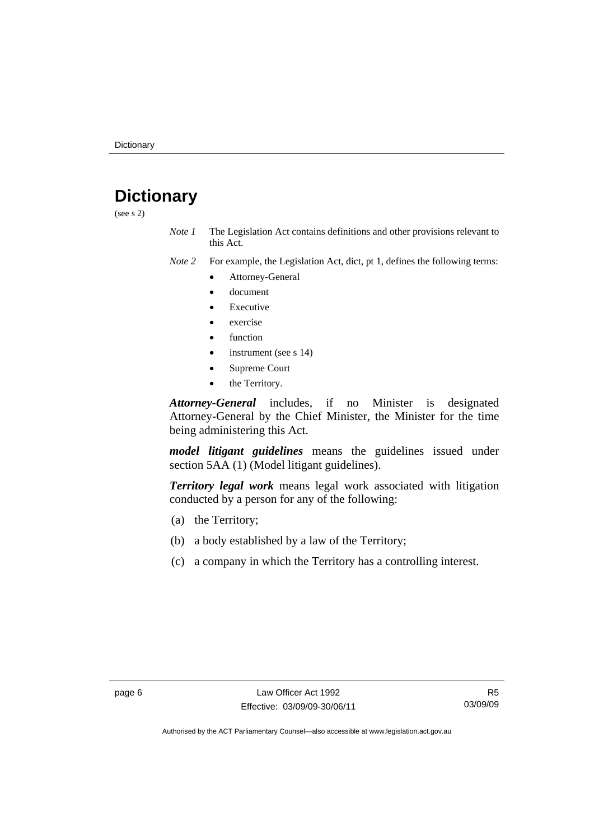# **Dictionary**

(see s 2)

*Note 1* The Legislation Act contains definitions and other provisions relevant to this Act.

*Note 2* For example, the Legislation Act, dict, pt 1, defines the following terms:

- Attorney-General
- document
- Executive
- exercise
- function
- instrument (see s 14)
- Supreme Court
- the Territory.

*Attorney-General* includes, if no Minister is designated Attorney-General by the Chief Minister, the Minister for the time being administering this Act.

*model litigant guidelines* means the guidelines issued under section 5AA (1) (Model litigant guidelines).

*Territory legal work* means legal work associated with litigation conducted by a person for any of the following:

- (a) the Territory;
- (b) a body established by a law of the Territory;
- (c) a company in which the Territory has a controlling interest.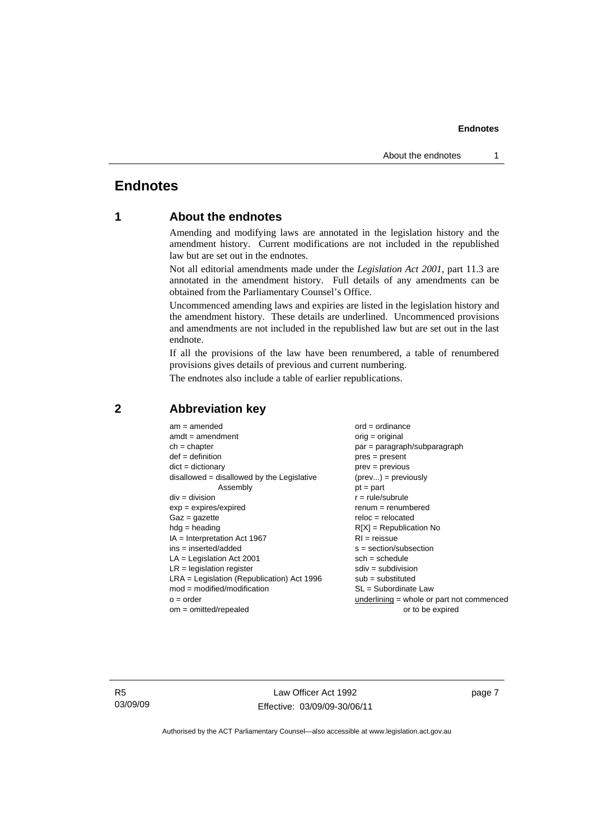# **Endnotes**

# **1 About the endnotes**

Amending and modifying laws are annotated in the legislation history and the amendment history. Current modifications are not included in the republished law but are set out in the endnotes.

Not all editorial amendments made under the *Legislation Act 2001*, part 11.3 are annotated in the amendment history. Full details of any amendments can be obtained from the Parliamentary Counsel's Office.

Uncommenced amending laws and expiries are listed in the legislation history and the amendment history. These details are underlined. Uncommenced provisions and amendments are not included in the republished law but are set out in the last endnote.

If all the provisions of the law have been renumbered, a table of renumbered provisions gives details of previous and current numbering.

The endnotes also include a table of earlier republications.

| $am = amended$                               | $ord = ordinance$                         |
|----------------------------------------------|-------------------------------------------|
| $amdt = amendment$                           | $orig = original$                         |
| $ch = chapter$                               | $par = paragraph/subparagraph$            |
| $def = definition$                           | $pres = present$                          |
| $dict = dictionary$                          | $prev = previous$                         |
| disallowed = disallowed by the Legislative   | $(\text{prev}) = \text{previously}$       |
| Assembly                                     | $pt = part$                               |
| $div = division$                             | $r = rule/subrule$                        |
| $exp = expires/expired$                      | $remum = renumbered$                      |
| $Gaz = gazette$                              | $reloc = relocated$                       |
| $hda =$ heading                              | $R[X]$ = Republication No                 |
| $IA = Interpretation Act 1967$               | $RI = reissue$                            |
| $ins = inserted/added$                       | $s = section/subsection$                  |
| $LA =$ Legislation Act 2001                  | $sch = schedule$                          |
| $LR =$ legislation register                  | $sdiv = subdivision$                      |
| $LRA =$ Legislation (Republication) Act 1996 | $sub =$ substituted                       |
| $mod = modified/modification$                | SL = Subordinate Law                      |
| $o = order$                                  | underlining = whole or part not commenced |
| $om = omitted/repealed$                      | or to be expired                          |
|                                              |                                           |

#### **2 Abbreviation key**

R5 03/09/09

Law Officer Act 1992 Effective: 03/09/09-30/06/11

page 7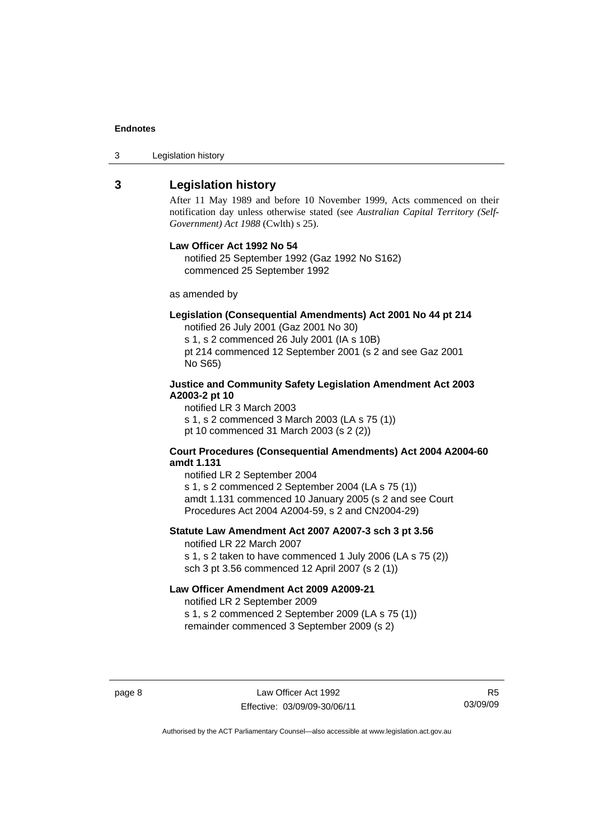3 Legislation history

#### **3 Legislation history**

After 11 May 1989 and before 10 November 1999, Acts commenced on their notification day unless otherwise stated (see *Australian Capital Territory (Self-Government) Act 1988* (Cwlth) s 25).

#### **Law Officer Act 1992 No 54**

notified 25 September 1992 (Gaz 1992 No S162) commenced 25 September 1992

as amended by

#### **Legislation (Consequential Amendments) Act 2001 No 44 pt 214**

notified 26 July 2001 (Gaz 2001 No 30)

s 1, s 2 commenced 26 July 2001 (IA s 10B) pt 214 commenced 12 September 2001 (s 2 and see Gaz 2001 No S65)

#### **Justice and Community Safety Legislation Amendment Act 2003 A2003-2 pt 10**

notified LR 3 March 2003 s 1, s 2 commenced 3 March 2003 (LA s 75 (1)) pt 10 commenced 31 March 2003 (s 2 (2))

#### **Court Procedures (Consequential Amendments) Act 2004 A2004-60 amdt 1.131**

notified LR 2 September 2004 s 1, s 2 commenced 2 September 2004 (LA s 75 (1)) amdt 1.131 commenced 10 January 2005 (s 2 and see Court Procedures Act 2004 A2004-59, s 2 and CN2004-29)

#### **Statute Law Amendment Act 2007 A2007-3 sch 3 pt 3.56**

notified LR 22 March 2007 s 1, s 2 taken to have commenced 1 July 2006 (LA s 75 (2)) sch 3 pt 3.56 commenced 12 April 2007 (s 2 (1))

#### **Law Officer Amendment Act 2009 A2009-21**

notified LR 2 September 2009 s 1, s 2 commenced 2 September 2009 (LA s 75 (1)) remainder commenced 3 September 2009 (s 2)

page 8 Law Officer Act 1992 Effective: 03/09/09-30/06/11

R5 03/09/09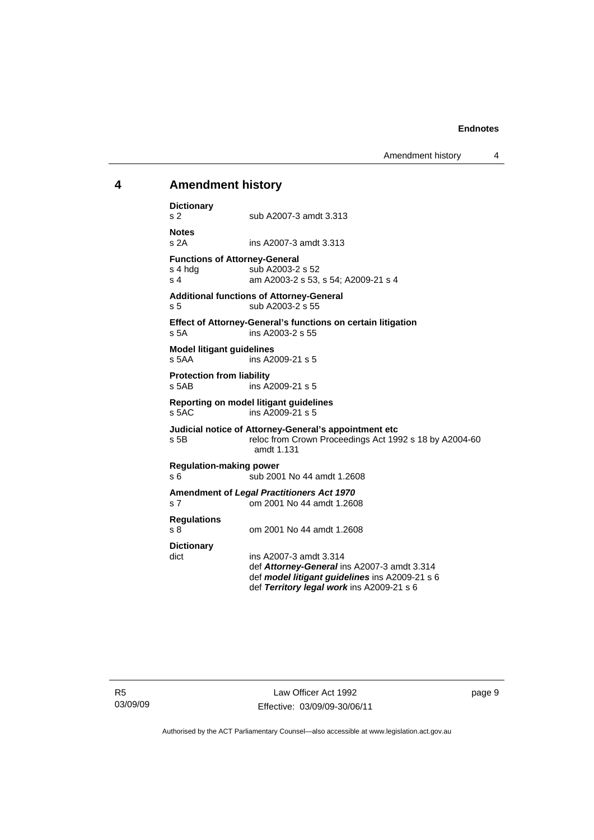# **4 Amendment history**

| <b>Dictionary</b><br>s <sub>2</sub>                                                                                                              | sub A2007-3 amdt 3.313                                                                                                                                               |  |  |  |  |  |
|--------------------------------------------------------------------------------------------------------------------------------------------------|----------------------------------------------------------------------------------------------------------------------------------------------------------------------|--|--|--|--|--|
| <b>Notes</b><br>s <sub>2A</sub>                                                                                                                  | ins A2007-3 amdt 3.313                                                                                                                                               |  |  |  |  |  |
| <b>Functions of Attorney-General</b><br>s 4 hdg<br>s <sub>4</sub>                                                                                | sub A2003-2 s 52<br>am A2003-2 s 53, s 54; A2009-21 s 4                                                                                                              |  |  |  |  |  |
| <b>Additional functions of Attorney-General</b><br>sub A2003-2 s 55<br>s 5                                                                       |                                                                                                                                                                      |  |  |  |  |  |
| s 5A                                                                                                                                             | <b>Effect of Attorney-General's functions on certain litigation</b><br>ins A2003-2 s 55                                                                              |  |  |  |  |  |
| <b>Model litigant guidelines</b><br>s 5AA<br>ins A2009-21 s 5                                                                                    |                                                                                                                                                                      |  |  |  |  |  |
| <b>Protection from liability</b><br>s 5AB                                                                                                        | ins A2009-21 s 5                                                                                                                                                     |  |  |  |  |  |
| Reporting on model litigant guidelines<br>s 5AC<br>ins A2009-21 s 5                                                                              |                                                                                                                                                                      |  |  |  |  |  |
| Judicial notice of Attorney-General's appointment etc<br>reloc from Crown Proceedings Act 1992 s 18 by A2004-60<br>s <sub>5B</sub><br>amdt 1.131 |                                                                                                                                                                      |  |  |  |  |  |
| <b>Regulation-making power</b><br>sub 2001 No 44 amdt 1.2608<br>s 6                                                                              |                                                                                                                                                                      |  |  |  |  |  |
| <b>Amendment of Legal Practitioners Act 1970</b><br>om 2001 No 44 amdt 1.2608<br>s <sub>7</sub>                                                  |                                                                                                                                                                      |  |  |  |  |  |
| <b>Regulations</b><br>s 8                                                                                                                        | om 2001 No 44 amdt 1.2608                                                                                                                                            |  |  |  |  |  |
| <b>Dictionary</b><br>dict                                                                                                                        | ins A2007-3 amdt 3.314<br>def Attorney-General ins A2007-3 amdt 3.314<br>def model litigant guidelines ins A2009-21 s 6<br>def Territory legal work ins A2009-21 s 6 |  |  |  |  |  |

R5 03/09/09

Law Officer Act 1992 Effective: 03/09/09-30/06/11 page 9